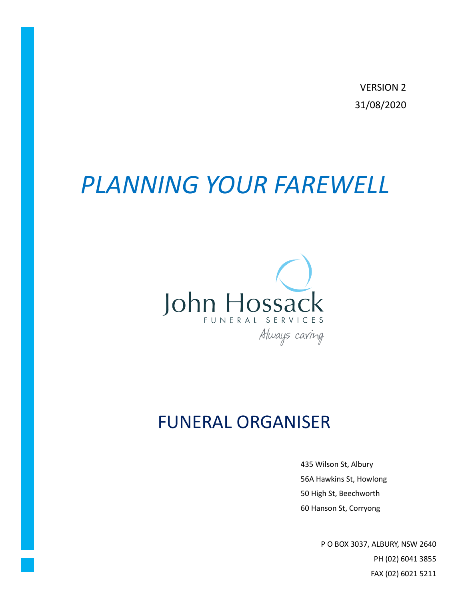**VERSION 2** 31/08/2020

# PLANNING YOUR FAREWELL



# **FUNERAL ORGANISER**

435 Wilson St, Albury 56A Hawkins St, Howlong 50 High St, Beechworth

Æ

P O BOX 3037, ALBURY, NSW 2640 PH (02) 6041 3855 FAX (02) 6021 5211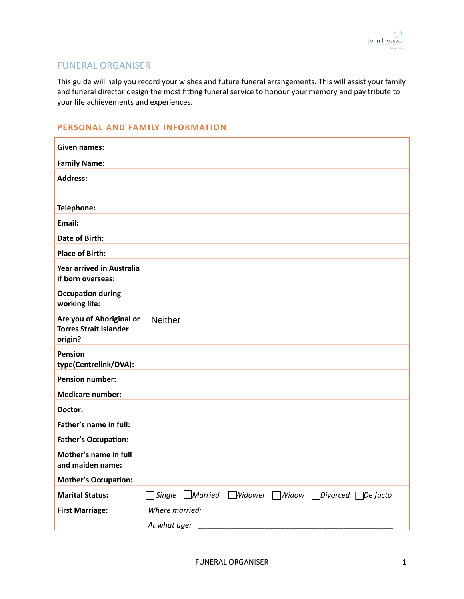# FUNERAL ORGANISER

This guide will help you record your wishes and future funeral arrangements. This will assist your family and funeral director design the most fitting funeral service to honour your memory and pay tribute to your life achievements and experiences.

## **PERSONAL AND FAMILY INFORMATION**

| Given names:                                                         |                                                                             |
|----------------------------------------------------------------------|-----------------------------------------------------------------------------|
| <b>Family Name:</b>                                                  |                                                                             |
| <b>Address:</b>                                                      |                                                                             |
|                                                                      |                                                                             |
| Telephone:                                                           |                                                                             |
| Email:                                                               |                                                                             |
| <b>Date of Birth:</b>                                                |                                                                             |
| <b>Place of Birth:</b>                                               |                                                                             |
| <b>Year arrived in Australia</b><br>if born overseas:                |                                                                             |
| <b>Occupation during</b><br>working life:                            |                                                                             |
| Are you of Aboriginal or<br><b>Torres Strait Islander</b><br>origin? | <b>Neither</b>                                                              |
| <b>Pension</b><br>type(Centrelink/DVA):                              |                                                                             |
| <b>Pension number:</b>                                               |                                                                             |
| <b>Medicare number:</b>                                              |                                                                             |
| Doctor:                                                              |                                                                             |
| Father's name in full:                                               |                                                                             |
| <b>Father's Occupation:</b>                                          |                                                                             |
| Mother's name in full<br>and maiden name:                            |                                                                             |
| <b>Mother's Occupation:</b>                                          |                                                                             |
| <b>Marital Status:</b>                                               | <i>Nidower</i><br>Married<br>$\Box$ Widow<br>De facto<br>Single<br>Divorced |
| <b>First Marriage:</b>                                               | Where married:                                                              |
|                                                                      | At what age:                                                                |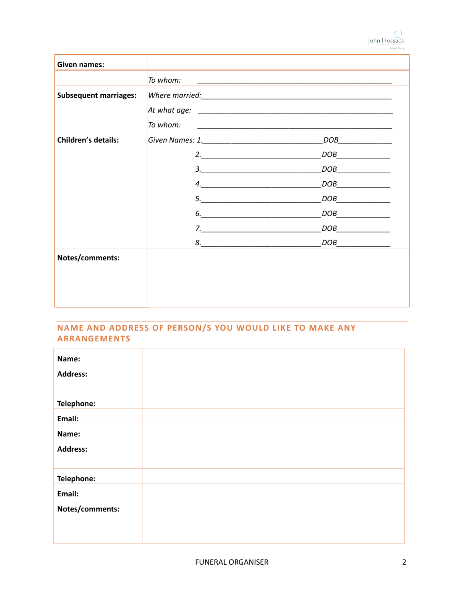| Given names:                 |                                   |                                                                                                                        |
|------------------------------|-----------------------------------|------------------------------------------------------------------------------------------------------------------------|
|                              | To whom:                          | <u> 1989 - Johann John Stone, mars eta biztanleria (h. 1989).</u>                                                      |
| <b>Subsequent marriages:</b> | To whom:                          | <u> 1989 - Johann John Stoff, deutscher Stoffen und der Stoffen und der Stoffen und der Stoffen und der Stoffen un</u> |
| <b>Children's details:</b>   |                                   | DOB                                                                                                                    |
|                              |                                   | DOB                                                                                                                    |
|                              | $\begin{array}{c} 3. \end{array}$ | DOB                                                                                                                    |
|                              | 4.                                | DOB                                                                                                                    |
|                              |                                   | DOB                                                                                                                    |
|                              | 6.                                | DOB                                                                                                                    |
|                              |                                   | DOB                                                                                                                    |
|                              |                                   | $DOB$                                                                                                                  |
| Notes/comments:              |                                   |                                                                                                                        |

# **NAME AND ADDRESS OF PERSON/S YOU WOULD LIKE TO MAKE ANY ARRANGEMENTS**

| Name:           |  |
|-----------------|--|
| <b>Address:</b> |  |
|                 |  |
|                 |  |
| Telephone:      |  |
|                 |  |
| Email:          |  |
| Name:           |  |
|                 |  |
| <b>Address:</b> |  |
|                 |  |
|                 |  |
|                 |  |
| Telephone:      |  |
|                 |  |
| Email:          |  |
|                 |  |
| Notes/comments: |  |
|                 |  |
|                 |  |
|                 |  |
|                 |  |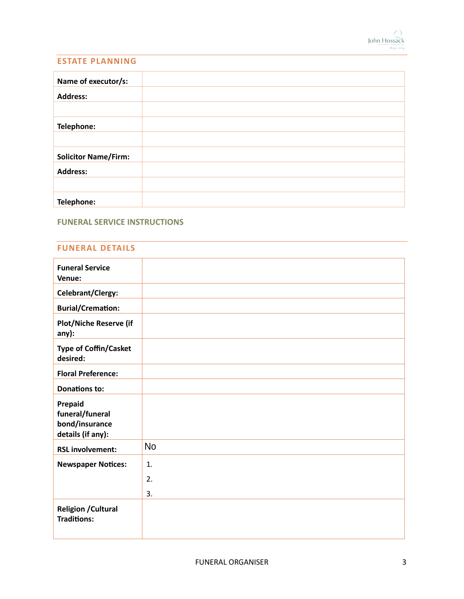

#### **ESTATE PLANNING**

| Name of executor/s:         |  |
|-----------------------------|--|
| <b>Address:</b>             |  |
|                             |  |
| Telephone:                  |  |
|                             |  |
| <b>Solicitor Name/Firm:</b> |  |
| <b>Address:</b>             |  |
|                             |  |
| Telephone:                  |  |

## **FUNERAL SERVICE INSTRUCTIONS**

#### **FUNERAL DETAILS**

| <b>Funeral Service</b>        |           |
|-------------------------------|-----------|
| Venue:                        |           |
|                               |           |
| Celebrant/Clergy:             |           |
|                               |           |
| <b>Burial/Cremation:</b>      |           |
| <b>Plot/Niche Reserve (if</b> |           |
| any):                         |           |
|                               |           |
| <b>Type of Coffin/Casket</b>  |           |
| desired:                      |           |
|                               |           |
| <b>Floral Preference:</b>     |           |
| <b>Donations to:</b>          |           |
|                               |           |
| Prepaid                       |           |
| funeral/funeral               |           |
|                               |           |
| bond/insurance                |           |
| details (if any):             |           |
|                               | <b>No</b> |
| <b>RSL involvement:</b>       |           |
| <b>Newspaper Notices:</b>     | 1.        |
|                               |           |
|                               | 2.        |
|                               | 3.        |
|                               |           |
| <b>Religion / Cultural</b>    |           |
| <b>Traditions:</b>            |           |
|                               |           |
|                               |           |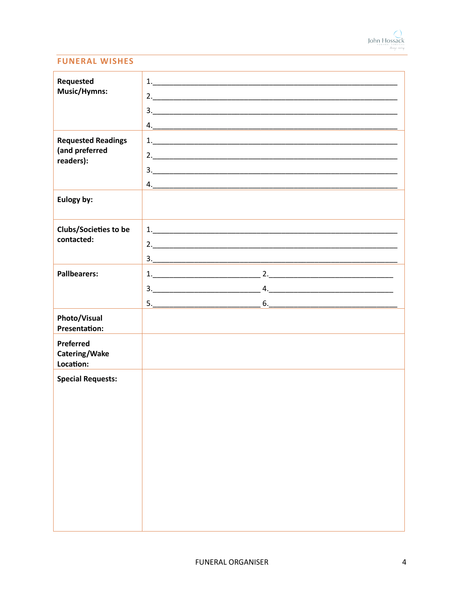

#### **FUNERAL WISHES**

| Requested<br>Music/Hymns:                                | 2. |
|----------------------------------------------------------|----|
|                                                          | 3. |
| <b>Requested Readings</b><br>(and preferred<br>readers): | 2. |
|                                                          |    |
| Eulogy by:                                               |    |
| <b>Clubs/Societies to be</b><br>contacted:               | 2. |
| <b>Pallbearers:</b>                                      |    |
|                                                          |    |
|                                                          |    |
| Photo/Visual<br><b>Presentation:</b>                     |    |
| Preferred<br>Catering/Wake<br>Location:                  |    |
| <b>Special Requests:</b>                                 |    |
|                                                          |    |
|                                                          |    |
|                                                          |    |
|                                                          |    |
|                                                          |    |
|                                                          |    |
|                                                          |    |
|                                                          |    |